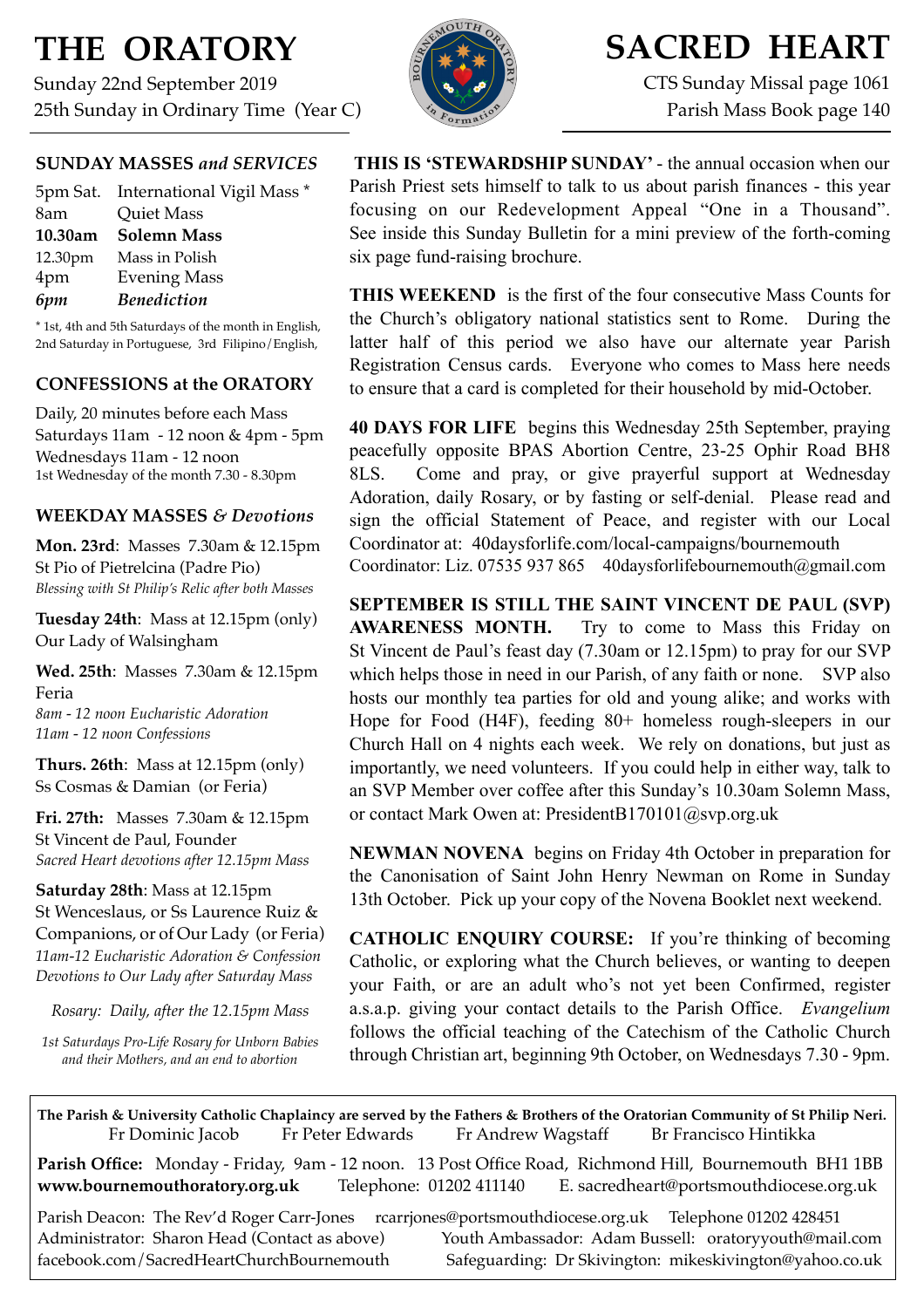# **THE ORATORY**

Sunday 22nd September 2019 25th Sunday in Ordinary Time (Year C)



# **SACRED HEART**

CTS Sunday Missal page 1061 Parish Mass Book page 140

# **SUNDAY MASSES** *and SERVICES*

|         | 5pm Sat. International Vigil Mass * |
|---------|-------------------------------------|
| 8am     | <b>Quiet Mass</b>                   |
| 10.30am | <b>Solemn Mass</b>                  |
| 12.30pm | Mass in Polish                      |
| 4pm     | <b>Evening Mass</b>                 |
| 6pm     | <b>Benediction</b>                  |
|         |                                     |

\* 1st, 4th and 5th Saturdays of the month in English, 2nd Saturday in Portuguese, 3rd Filipino/English,

## **CONFESSIONS at the ORATORY**

Daily, 20 minutes before each Mass Saturdays 11am - 12 noon & 4pm - 5pm Wednesdays 11am - 12 noon 1st Wednesday of the month 7.30 - 8.30pm

## **WEEKDAY MASSES** *& Devotions*

**Mon. 23rd**: Masses 7.30am & 12.15pm St Pio of Pietrelcina (Padre Pio) *Blessing with St Philip's Relic after both Masses*

**Tuesday 24th**: Mass at 12.15pm (only) Our Lady of Walsingham

**Wed. 25th**: Masses7.30am & 12.15pm Feria

*8am - 12 noon Eucharistic Adoration 11am - 12 noon Confessions*

**Thurs. 26th**: Mass at 12.15pm (only) Ss Cosmas & Damian (or Feria)

**Fri. 27th:** Masses 7.30am & 12.15pm St Vincent de Paul, Founder *Sacred Heart devotions after 12.15pm Mass*

**Saturday 28th**: Mass at 12.15pm St Wenceslaus, or Ss Laurence Ruiz & Companions, or of Our Lady (or Feria) *11am-12 Eucharistic Adoration & Confession Devotions to Our Lady after Saturday Mass*

*Rosary: Daily, after the 12.15pm Mass*

*1st Saturdays Pro-Life Rosary for Unborn Babies and their Mothers, and an end to abortion*

**THIS IS 'STEWARDSHIP SUNDAY'** - the annual occasion when our Parish Priest sets himself to talk to us about parish finances - this year focusing on our Redevelopment Appeal "One in a Thousand". See inside this Sunday Bulletin for a mini preview of the forth-coming six page fund-raising brochure.

**THIS WEEKEND** is the first of the four consecutive Mass Counts for the Church's obligatory national statistics sent to Rome. During the latter half of this period we also have our alternate year Parish Registration Census cards. Everyone who comes to Mass here needs to ensure that a card is completed for their household by mid-October.

**40 DAYS FOR LIFE** begins this Wednesday 25th September, praying peacefully opposite BPAS Abortion Centre, 23-25 Ophir Road BH8 8LS. Come and pray, or give prayerful support at Wednesday Adoration, daily Rosary, or by fasting or self-denial. Please read and sign the official Statement of Peace, and register with our Local Coordinator at: 40daysforlife.com/local-campaigns/bournemouth Coordinator: Liz. 07535 937 865 [40daysforlifebournemouth@gmail.com](mailto:40daysforlifebournemouth@gmail.com)

**SEPTEMBER IS STILL THE SAINT VINCENT DE PAUL (SVP) AWARENESS MONTH.** Try to come to Mass this Friday on St Vincent de Paul's feast day (7.30am or 12.15pm) to pray for our SVP which helps those in need in our Parish, of any faith or none. SVP also hosts our monthly tea parties for old and young alike; and works with Hope for Food (H4F), feeding 80+ homeless rough-sleepers in our Church Hall on 4 nights each week. We rely on donations, but just as importantly, we need volunteers. If you could help in either way, talk to an SVP Member over coffee after this Sunday's 10.30am Solemn Mass, or contact Mark Owen at: [PresidentB170101@svp.org.uk](mailto:PresidentB170101@svp.org.uk)

**NEWMAN NOVENA** begins on Friday 4th October in preparation for the Canonisation of Saint John Henry Newman on Rome in Sunday 13th October. Pick up your copy of the Novena Booklet next weekend.

**CATHOLIC ENQUIRY COURSE:** If you're thinking of becoming Catholic, or exploring what the Church believes, or wanting to deepen your Faith, or are an adult who's not yet been Confirmed, register a.s.a.p. giving your contact details to the Parish Office. *Evangelium*  follows the official teaching of the Catechism of the Catholic Church through Christian art, beginning 9th October, on Wednesdays 7.30 - 9pm.

**The Parish & University Catholic Chaplaincy are served by the Fathers & Brothers of the Oratorian Community of St Philip Neri.** Fr Dominic Jacob Fr Peter Edwards Fr Andrew Wagstaff Br Francisco Hintikka

**Parish Office:** Monday - Friday, 9am - 12 noon. 13 Post Office Road, Richmond Hill, Bournemouth BH1 1BB **[www.bournemouthoratory.org.uk](http://www.bournemoithoratory.org.uk)** Telephone: 01202 411140 E. [sacredheart@portsmouthdiocese.org.uk](mailto:sacredheart@portsmouthdiocese.org.uk)

Parish Deacon: The Rev'd Roger Carr-Jones [rcarrjones@portsmouthdiocese.org.uk](mailto:rcarrjones@portsmouthdiocese.org.uk) Telephone 01202 428451 Administrator: Sharon Head (Contact as above) Youth Ambassador: Adam Bussell: [oratoryyouth@mail.com](http://oratoryyouth.mail.com) [facebook.com/SacredHeartChurchBournemouth](http://facebook.com/SaccredHeartChurchBournemouth) Safeguarding: Dr Skivington: mikeskivington@yahoo.co.uk